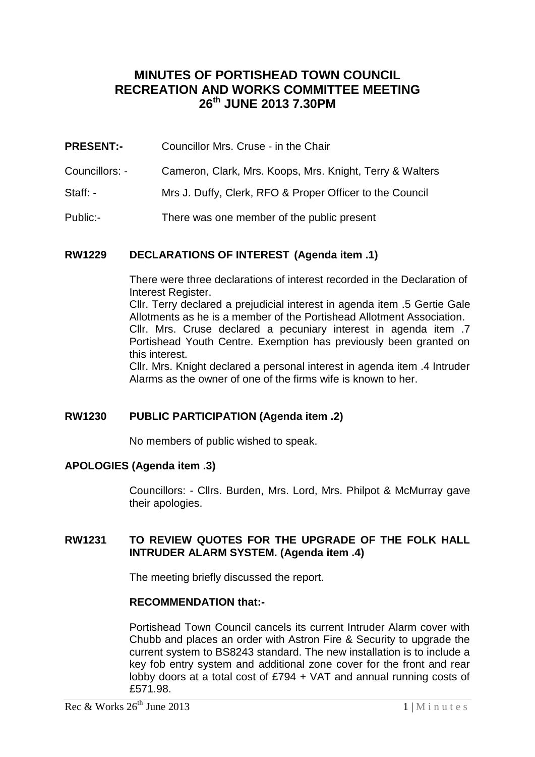# **MINUTES OF PORTISHEAD TOWN COUNCIL RECREATION AND WORKS COMMITTEE MEETING 26th JUNE 2013 7.30PM**

- **PRESENT:-** Councillor Mrs. Cruse in the Chair
- Councillors: Cameron, Clark, Mrs. Koops, Mrs. Knight, Terry & Walters
- Staff: Mrs J. Duffy, Clerk, RFO & Proper Officer to the Council
- Public:- There was one member of the public present

### **RW1229 DECLARATIONS OF INTEREST (Agenda item .1)**

There were three declarations of interest recorded in the Declaration of Interest Register.

Cllr. Terry declared a prejudicial interest in agenda item .5 Gertie Gale Allotments as he is a member of the Portishead Allotment Association. Cllr. Mrs. Cruse declared a pecuniary interest in agenda item .7 Portishead Youth Centre. Exemption has previously been granted on this interest.

Cllr. Mrs. Knight declared a personal interest in agenda item .4 Intruder Alarms as the owner of one of the firms wife is known to her.

### **RW1230 PUBLIC PARTICIPATION (Agenda item .2)**

No members of public wished to speak.

### **APOLOGIES (Agenda item .3)**

Councillors: - Cllrs. Burden, Mrs. Lord, Mrs. Philpot & McMurray gave their apologies.

### **RW1231 TO REVIEW QUOTES FOR THE UPGRADE OF THE FOLK HALL INTRUDER ALARM SYSTEM. (Agenda item .4)**

The meeting briefly discussed the report.

### **RECOMMENDATION that:-**

Portishead Town Council cancels its current Intruder Alarm cover with Chubb and places an order with Astron Fire & Security to upgrade the current system to BS8243 standard. The new installation is to include a key fob entry system and additional zone cover for the front and rear lobby doors at a total cost of £794 + VAT and annual running costs of £571.98.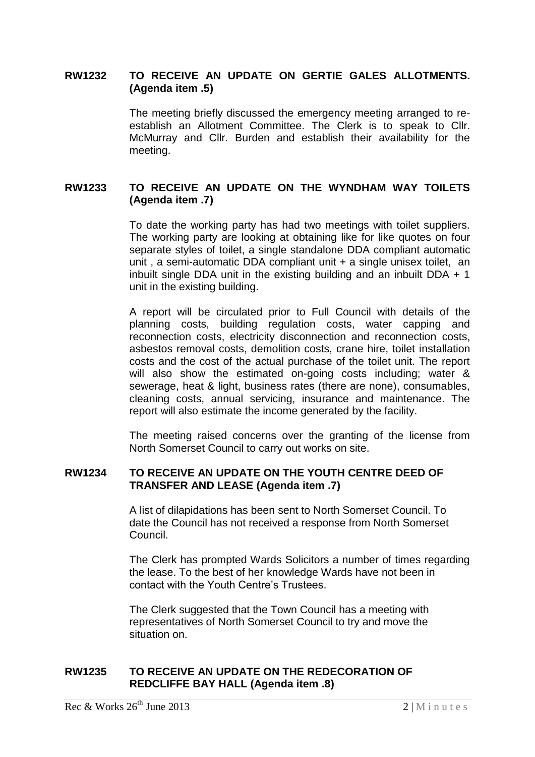## **RW1232 TO RECEIVE AN UPDATE ON GERTIE GALES ALLOTMENTS. (Agenda item .5)**

The meeting briefly discussed the emergency meeting arranged to reestablish an Allotment Committee. The Clerk is to speak to Cllr. McMurray and Cllr. Burden and establish their availability for the meeting.

### **RW1233 TO RECEIVE AN UPDATE ON THE WYNDHAM WAY TOILETS (Agenda item .7)**

To date the working party has had two meetings with toilet suppliers. The working party are looking at obtaining like for like quotes on four separate styles of toilet, a single standalone DDA compliant automatic unit, a semi-automatic DDA compliant unit + a single unisex toilet, an inbuilt single DDA unit in the existing building and an inbuilt DDA + 1 unit in the existing building.

A report will be circulated prior to Full Council with details of the planning costs, building regulation costs, water capping and reconnection costs, electricity disconnection and reconnection costs, asbestos removal costs, demolition costs, crane hire, toilet installation costs and the cost of the actual purchase of the toilet unit. The report will also show the estimated on-going costs including; water & sewerage, heat & light, business rates (there are none), consumables, cleaning costs, annual servicing, insurance and maintenance. The report will also estimate the income generated by the facility.

The meeting raised concerns over the granting of the license from North Somerset Council to carry out works on site.

### **RW1234 TO RECEIVE AN UPDATE ON THE YOUTH CENTRE DEED OF TRANSFER AND LEASE (Agenda item .7)**

A list of dilapidations has been sent to North Somerset Council. To date the Council has not received a response from North Somerset Council.

The Clerk has prompted Wards Solicitors a number of times regarding the lease. To the best of her knowledge Wards have not been in contact with the Youth Centre's Trustees.

The Clerk suggested that the Town Council has a meeting with representatives of North Somerset Council to try and move the situation on.

### **RW1235 TO RECEIVE AN UPDATE ON THE REDECORATION OF REDCLIFFE BAY HALL (Agenda item .8)**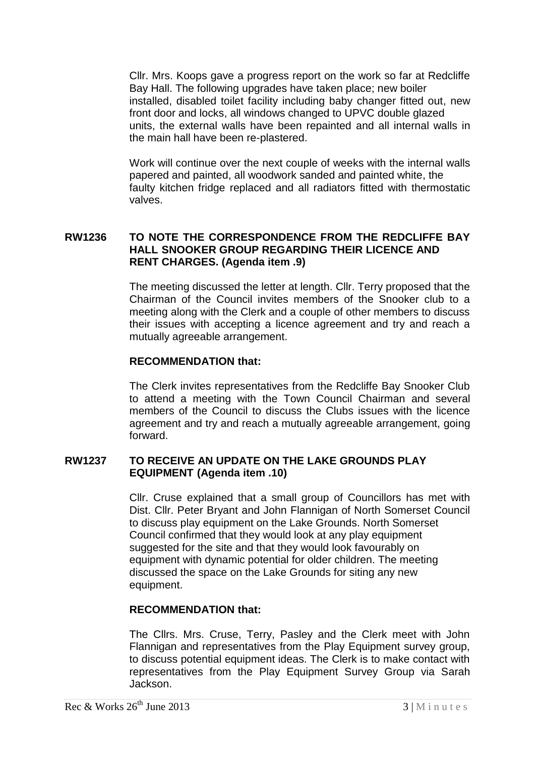Cllr. Mrs. Koops gave a progress report on the work so far at Redcliffe Bay Hall. The following upgrades have taken place; new boiler installed, disabled toilet facility including baby changer fitted out, new front door and locks, all windows changed to UPVC double glazed units, the external walls have been repainted and all internal walls in the main hall have been re-plastered.

Work will continue over the next couple of weeks with the internal walls papered and painted, all woodwork sanded and painted white, the faulty kitchen fridge replaced and all radiators fitted with thermostatic valves.

### **RW1236 TO NOTE THE CORRESPONDENCE FROM THE REDCLIFFE BAY HALL SNOOKER GROUP REGARDING THEIR LICENCE AND RENT CHARGES. (Agenda item .9)**

The meeting discussed the letter at length. Cllr. Terry proposed that the Chairman of the Council invites members of the Snooker club to a meeting along with the Clerk and a couple of other members to discuss their issues with accepting a licence agreement and try and reach a mutually agreeable arrangement.

# **RECOMMENDATION that:**

The Clerk invites representatives from the Redcliffe Bay Snooker Club to attend a meeting with the Town Council Chairman and several members of the Council to discuss the Clubs issues with the licence agreement and try and reach a mutually agreeable arrangement, going forward.

### **RW1237 TO RECEIVE AN UPDATE ON THE LAKE GROUNDS PLAY EQUIPMENT (Agenda item .10)**

Cllr. Cruse explained that a small group of Councillors has met with Dist. Cllr. Peter Bryant and John Flannigan of North Somerset Council to discuss play equipment on the Lake Grounds. North Somerset Council confirmed that they would look at any play equipment suggested for the site and that they would look favourably on equipment with dynamic potential for older children. The meeting discussed the space on the Lake Grounds for siting any new equipment.

### **RECOMMENDATION that:**

The Cllrs. Mrs. Cruse, Terry, Pasley and the Clerk meet with John Flannigan and representatives from the Play Equipment survey group, to discuss potential equipment ideas. The Clerk is to make contact with representatives from the Play Equipment Survey Group via Sarah Jackson.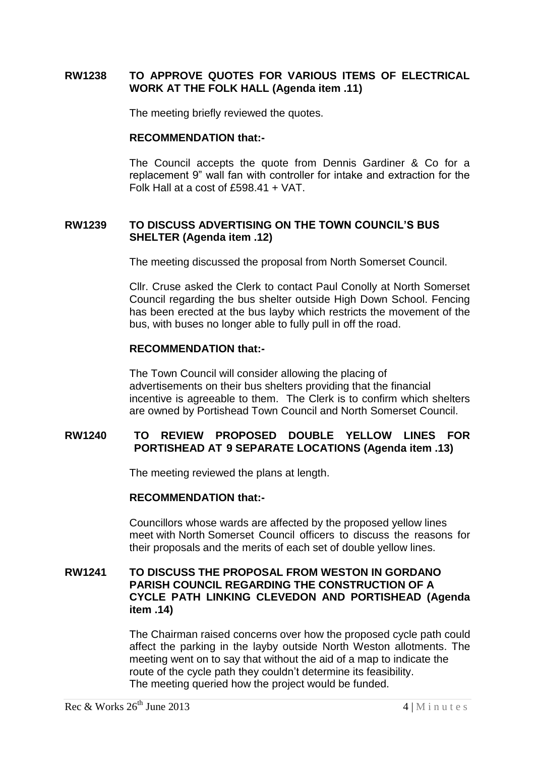# **RW1238 TO APPROVE QUOTES FOR VARIOUS ITEMS OF ELECTRICAL WORK AT THE FOLK HALL (Agenda item .11)**

The meeting briefly reviewed the quotes.

### **RECOMMENDATION that:-**

The Council accepts the quote from Dennis Gardiner & Co for a replacement 9" wall fan with controller for intake and extraction for the Folk Hall at a cost of £598.41 + VAT.

## **RW1239 TO DISCUSS ADVERTISING ON THE TOWN COUNCIL'S BUS SHELTER (Agenda item .12)**

The meeting discussed the proposal from North Somerset Council.

Cllr. Cruse asked the Clerk to contact Paul Conolly at North Somerset Council regarding the bus shelter outside High Down School. Fencing has been erected at the bus layby which restricts the movement of the bus, with buses no longer able to fully pull in off the road.

### **RECOMMENDATION that:-**

The Town Council will consider allowing the placing of advertisements on their bus shelters providing that the financial incentive is agreeable to them. The Clerk is to confirm which shelters are owned by Portishead Town Council and North Somerset Council.

### **RW1240 TO REVIEW PROPOSED DOUBLE YELLOW LINES FOR PORTISHEAD AT 9 SEPARATE LOCATIONS (Agenda item .13)**

The meeting reviewed the plans at length.

### **RECOMMENDATION that:-**

Councillors whose wards are affected by the proposed yellow lines meet with North Somerset Council officers to discuss the reasons for their proposals and the merits of each set of double yellow lines.

### **RW1241 TO DISCUSS THE PROPOSAL FROM WESTON IN GORDANO PARISH COUNCIL REGARDING THE CONSTRUCTION OF A CYCLE PATH LINKING CLEVEDON AND PORTISHEAD (Agenda item .14)**

The Chairman raised concerns over how the proposed cycle path could affect the parking in the layby outside North Weston allotments. The meeting went on to say that without the aid of a map to indicate the route of the cycle path they couldn't determine its feasibility. The meeting queried how the project would be funded.